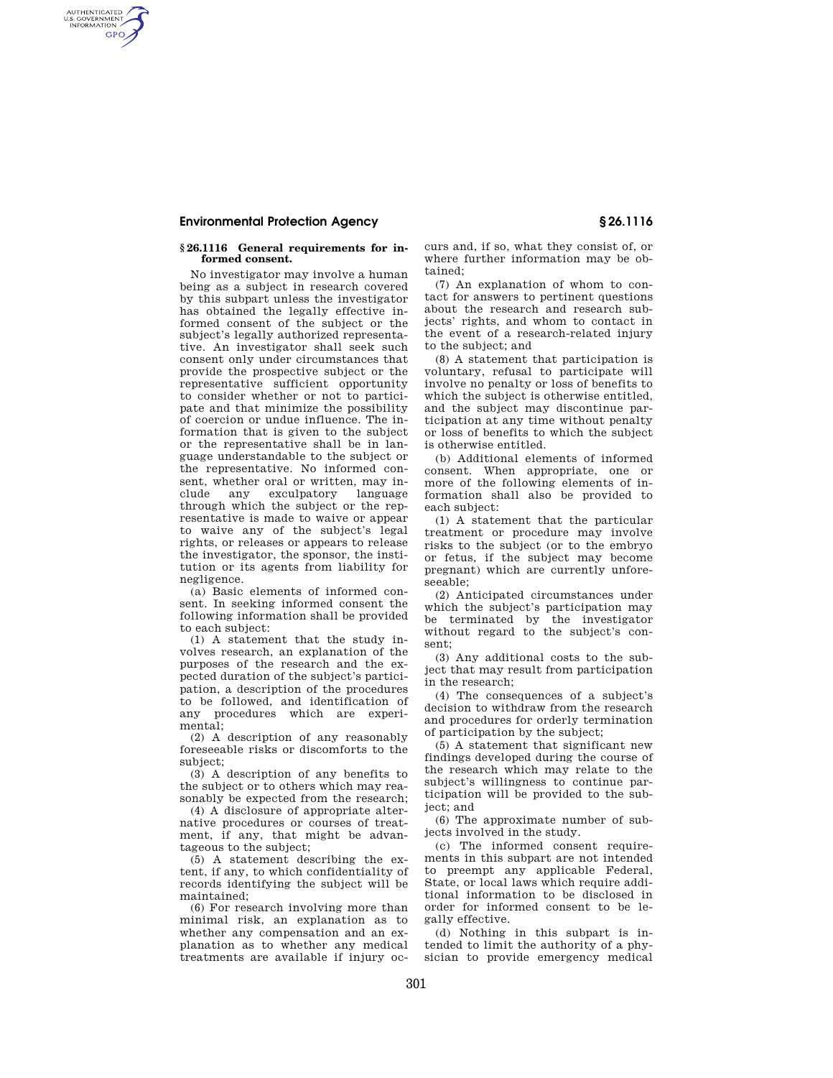### **Environmental Protection Agency § 26.1116**

AUTHENTICATED<br>U.S. GOVERNMENT<br>INFORMATION **GPO** 

#### **§ 26.1116 General requirements for informed consent.**

No investigator may involve a human being as a subject in research covered by this subpart unless the investigator has obtained the legally effective informed consent of the subject or the subject's legally authorized representative. An investigator shall seek such consent only under circumstances that provide the prospective subject or the representative sufficient opportunity to consider whether or not to participate and that minimize the possibility of coercion or undue influence. The information that is given to the subject or the representative shall be in language understandable to the subject or the representative. No informed consent, whether oral or written, may in-<br>clude any exculpatory language any exculpatory language through which the subject or the representative is made to waive or appear to waive any of the subject's legal rights, or releases or appears to release the investigator, the sponsor, the institution or its agents from liability for negligence.

(a) Basic elements of informed consent. In seeking informed consent the following information shall be provided to each subject:

(1) A statement that the study involves research, an explanation of the purposes of the research and the expected duration of the subject's participation, a description of the procedures to be followed, and identification of any procedures which are experimental;

(2) A description of any reasonably foreseeable risks or discomforts to the subject;

(3) A description of any benefits to the subject or to others which may reasonably be expected from the research;

(4) A disclosure of appropriate alternative procedures or courses of treatment, if any, that might be advantageous to the subject;

(5) A statement describing the extent, if any, to which confidentiality of records identifying the subject will be maintained;

(6) For research involving more than minimal risk, an explanation as to whether any compensation and an explanation as to whether any medical treatments are available if injury occurs and, if so, what they consist of, or where further information may be obtained;

(7) An explanation of whom to contact for answers to pertinent questions about the research and research subjects' rights, and whom to contact in the event of a research-related injury to the subject; and

(8) A statement that participation is voluntary, refusal to participate will involve no penalty or loss of benefits to which the subject is otherwise entitled, and the subject may discontinue participation at any time without penalty or loss of benefits to which the subject is otherwise entitled.

(b) Additional elements of informed consent. When appropriate, one or more of the following elements of information shall also be provided to each subject:

(1) A statement that the particular treatment or procedure may involve risks to the subject (or to the embryo or fetus, if the subject may become pregnant) which are currently unforeseeable;

(2) Anticipated circumstances under which the subject's participation may be terminated by the investigator without regard to the subject's consent;

(3) Any additional costs to the subject that may result from participation in the research;

(4) The consequences of a subject's decision to withdraw from the research and procedures for orderly termination of participation by the subject;

(5) A statement that significant new findings developed during the course of the research which may relate to the subject's willingness to continue participation will be provided to the subject; and

(6) The approximate number of subjects involved in the study.

(c) The informed consent requirements in this subpart are not intended to preempt any applicable Federal, State, or local laws which require additional information to be disclosed in order for informed consent to be legally effective.

(d) Nothing in this subpart is intended to limit the authority of a physician to provide emergency medical